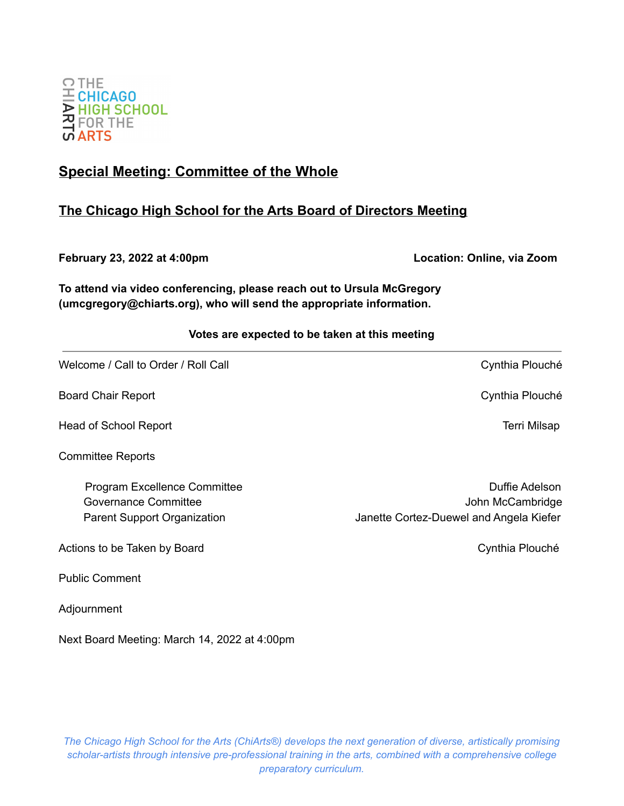

# **Special Meeting: Committee of the Whole**

# **The Chicago High School for the Arts Board of Directors Meeting**

**February 23, 2022 at 4:00pm Location: Online, via Zoom**

**To attend via video conferencing, please reach out to Ursula McGregory (umcgregory@chiarts.org), who will send the appropriate information.**

# **Votes are expected to be taken at this meeting**

Welcome / Call to Order / Roll Call Cynthia Plouché

Board Chair Report **Chair Report** Cynthia Plouché

Head of School Report **Terri Milsap** and the second second second second second second second second second second second second second second second second second second second second second second second second second se

Committee Reports

Actions to be Taken by Board **Cynthia Plouché** Cynthia Plouché

Public Comment

Adjournment

Next Board Meeting: March 14, 2022 at 4:00pm

*The Chicago High School for the Arts (ChiArts®) develops the next generation of diverse, artistically promising scholar-artists through intensive pre-professional training in the arts, combined with a comprehensive college preparatory curriculum.*

Program Excellence Committee **Duffie Adelson** Duffie Adelson Governance Committee **John McCambridge** John McCambridge Parent Support Organization **Janette Cortez-Duewel and Angela Kiefer**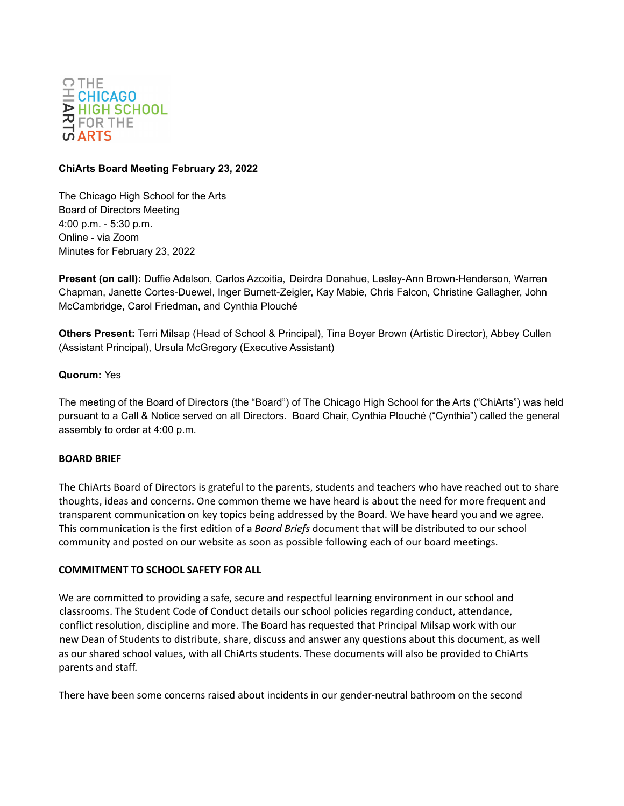

#### **ChiArts Board Meeting February 23, 2022**

The Chicago High School for the Arts Board of Directors Meeting 4:00 p.m. - 5:30 p.m. Online - via Zoom Minutes for February 23, 2022

**Present (on call):** Duffie Adelson, Carlos Azcoitia, Deirdra Donahue, Lesley-Ann Brown-Henderson, Warren Chapman, Janette Cortes-Duewel, Inger Burnett-Zeigler, Kay Mabie, Chris Falcon, Christine Gallagher, John McCambridge, Carol Friedman, and Cynthia Plouché

**Others Present:** Terri Milsap (Head of School & Principal), Tina Boyer Brown (Artistic Director), Abbey Cullen (Assistant Principal), Ursula McGregory (Executive Assistant)

### **Quorum:** Yes

The meeting of the Board of Directors (the "Board") of The Chicago High School for the Arts ("ChiArts") was held pursuant to a Call & Notice served on all Directors. Board Chair, Cynthia Plouché ("Cynthia") called the general assembly to order at 4:00 p.m.

#### **BOARD BRIEF**

The ChiArts Board of Directors is grateful to the parents, students and teachers who have reached out to share thoughts, ideas and concerns. One common theme we have heard is about the need for more frequent and transparent communication on key topics being addressed by the Board. We have heard you and we agree. This communication is the first edition of a *Board Briefs* document that will be distributed to our school community and posted on our website as soon as possible following each of our board meetings.

#### **COMMITMENT TO SCHOOL SAFETY FOR ALL**

We are committed to providing a safe, secure and respectful learning environment in our school and classrooms. The Student Code of Conduct details our school policies regarding conduct, attendance, conflict resolution, discipline and more. The Board has requested that Principal Milsap work with our new Dean of Students to distribute, share, discuss and answer any questions about this document, as well as our shared school values, with all ChiArts students. These documents will also be provided to ChiArts parents and staff.

There have been some concerns raised about incidents in our gender-neutral bathroom on the second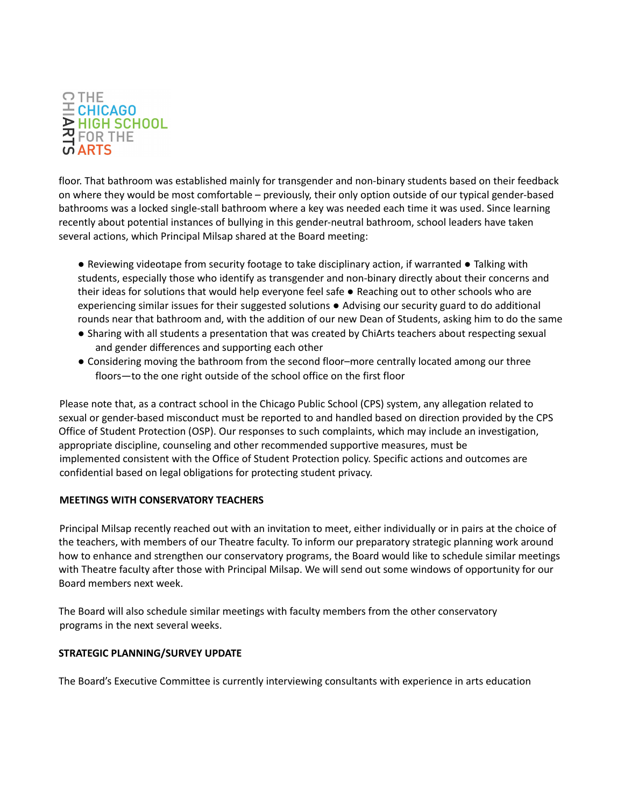

floor. That bathroom was established mainly for transgender and non-binary students based on their feedback on where they would be most comfortable – previously, their only option outside of our typical gender-based bathrooms was a locked single-stall bathroom where a key was needed each time it was used. Since learning recently about potential instances of bullying in this gender-neutral bathroom, school leaders have taken several actions, which Principal Milsap shared at the Board meeting:

● Reviewing videotape from security footage to take disciplinary action, if warranted ● Talking with students, especially those who identify as transgender and non-binary directly about their concerns and their ideas for solutions that would help everyone feel safe ● Reaching out to other schools who are experiencing similar issues for their suggested solutions ● Advising our security guard to do additional rounds near that bathroom and, with the addition of our new Dean of Students, asking him to do the same

- Sharing with all students a presentation that was created by ChiArts teachers about respecting sexual and gender differences and supporting each other
- Considering moving the bathroom from the second floor–more centrally located among our three floors—to the one right outside of the school office on the first floor

Please note that, as a contract school in the Chicago Public School (CPS) system, any allegation related to sexual or gender-based misconduct must be reported to and handled based on direction provided by the CPS Office of Student Protection (OSP). Our responses to such complaints, which may include an investigation, appropriate discipline, counseling and other recommended supportive measures, must be implemented consistent with the Office of Student Protection policy. Specific actions and outcomes are confidential based on legal obligations for protecting student privacy.

# **MEETINGS WITH CONSERVATORY TEACHERS**

Principal Milsap recently reached out with an invitation to meet, either individually or in pairs at the choice of the teachers, with members of our Theatre faculty. To inform our preparatory strategic planning work around how to enhance and strengthen our conservatory programs, the Board would like to schedule similar meetings with Theatre faculty after those with Principal Milsap. We will send out some windows of opportunity for our Board members next week.

The Board will also schedule similar meetings with faculty members from the other conservatory programs in the next several weeks.

# **STRATEGIC PLANNING/SURVEY UPDATE**

The Board's Executive Committee is currently interviewing consultants with experience in arts education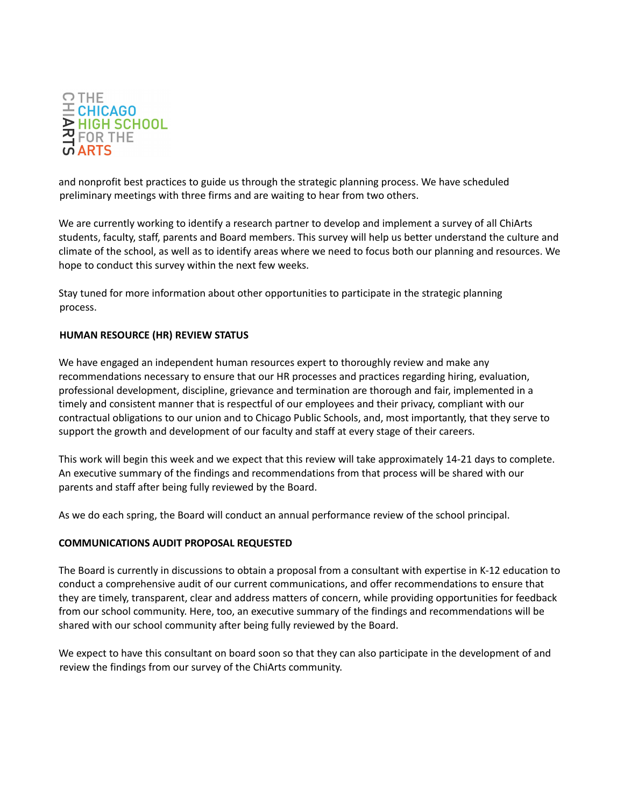

and nonprofit best practices to guide us through the strategic planning process. We have scheduled preliminary meetings with three firms and are waiting to hear from two others.

We are currently working to identify a research partner to develop and implement a survey of all ChiArts students, faculty, staff, parents and Board members. This survey will help us better understand the culture and climate of the school, as well as to identify areas where we need to focus both our planning and resources. We hope to conduct this survey within the next few weeks.

Stay tuned for more information about other opportunities to participate in the strategic planning process.

# **HUMAN RESOURCE (HR) REVIEW STATUS**

We have engaged an independent human resources expert to thoroughly review and make any recommendations necessary to ensure that our HR processes and practices regarding hiring, evaluation, professional development, discipline, grievance and termination are thorough and fair, implemented in a timely and consistent manner that is respectful of our employees and their privacy, compliant with our contractual obligations to our union and to Chicago Public Schools, and, most importantly, that they serve to support the growth and development of our faculty and staff at every stage of their careers.

This work will begin this week and we expect that this review will take approximately 14-21 days to complete. An executive summary of the findings and recommendations from that process will be shared with our parents and staff after being fully reviewed by the Board.

As we do each spring, the Board will conduct an annual performance review of the school principal.

#### **COMMUNICATIONS AUDIT PROPOSAL REQUESTED**

The Board is currently in discussions to obtain a proposal from a consultant with expertise in K-12 education to conduct a comprehensive audit of our current communications, and offer recommendations to ensure that they are timely, transparent, clear and address matters of concern, while providing opportunities for feedback from our school community. Here, too, an executive summary of the findings and recommendations will be shared with our school community after being fully reviewed by the Board.

We expect to have this consultant on board soon so that they can also participate in the development of and review the findings from our survey of the ChiArts community.